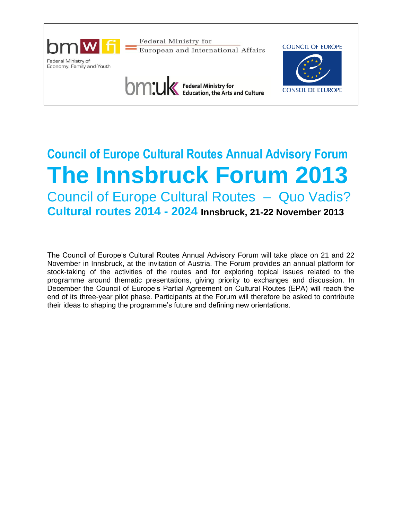

# **Council of Europe Cultural Routes Annual Advisory Forum The Innsbruck Forum 2013** Council of Europe Cultural Routes – Quo Vadis? **Cultural routes 2014 - 2024 Innsbruck, 21-22 November 2013**

The Council of Europe's Cultural Routes Annual Advisory Forum will take place on 21 and 22 November in Innsbruck, at the invitation of Austria. The Forum provides an annual platform for stock-taking of the activities of the routes and for exploring topical issues related to the programme around thematic presentations, giving priority to exchanges and discussion. In December the Council of Europe's Partial Agreement on Cultural Routes (EPA) will reach the end of its three-year pilot phase. Participants at the Forum will therefore be asked to contribute their ideas to shaping the programme's future and defining new orientations.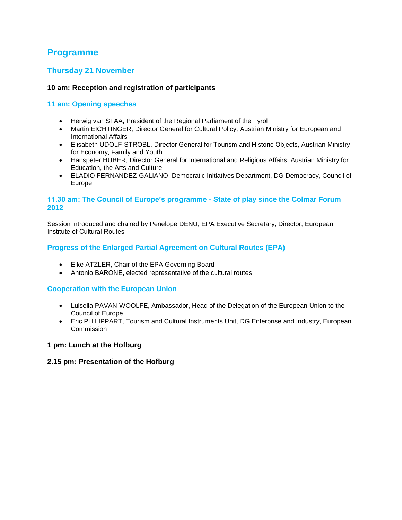# **Programme**

## **Thursday 21 November**

## **10 am: Reception and registration of participants**

## **11 am: Opening speeches**

- Herwig van STAA, President of the Regional Parliament of the Tyrol
- Martin EICHTINGER, Director General for Cultural Policy, Austrian Ministry for European and International Affairs
- Elisabeth UDOLF-STROBL, Director General for Tourism and Historic Objects, Austrian Ministry for Economy, Family and Youth
- Hanspeter HUBER, Director General for International and Religious Affairs, Austrian Ministry for Education, the Arts and Culture
- ELADIO FERNANDEZ-GALIANO, Democratic Initiatives Department, DG Democracy, Council of Europe

## **11.30 am: The Council of Europe's programme - State of play since the Colmar Forum 2012**

Session introduced and chaired by Penelope DENU, EPA Executive Secretary, Director, European Institute of Cultural Routes

## **Progress of the Enlarged Partial Agreement on Cultural Routes (EPA)**

- Elke ATZLER, Chair of the EPA Governing Board
- Antonio BARONE, elected representative of the cultural routes

## **Cooperation with the European Union**

- Luisella PAVAN-WOOLFE, Ambassador, Head of the Delegation of the European Union to the Council of Europe
- Eric PHILIPPART, Tourism and Cultural Instruments Unit, DG Enterprise and Industry, European **Commission**

## **1 pm: Lunch at the Hofburg**

## **2.15 pm: Presentation of the Hofburg**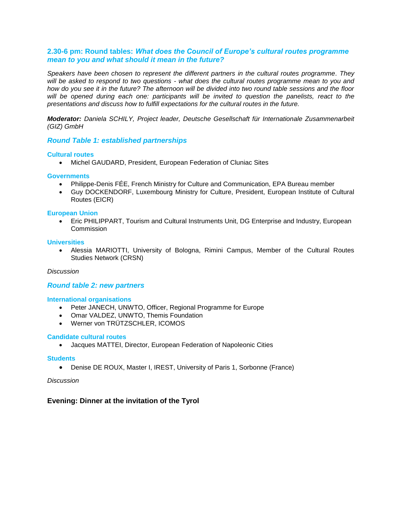## **2.30-6 pm: Round tables:** *What does the Council of Europe's cultural routes programme mean to you and what should it mean in the future?*

*Speakers have been chosen to represent the different partners in the cultural routes programme. They will be asked to respond to two questions - what does the cultural routes programme mean to you and how do you see it in the future? The afternoon will be divided into two round table sessions and the floor will be opened during each one: participants will be invited to question the panelists, react to the presentations and discuss how to fulfill expectations for the cultural routes in the future.* 

*Moderator: Daniela SCHILY, Project leader, Deutsche Gesellschaft für Internationale Zusammenarbeit (GIZ) GmbH*

#### *Round Table 1: established partnerships*

#### **Cultural routes**

Michel GAUDARD, President, European Federation of Cluniac Sites

#### **Governments**

- Philippe-Denis FÉE, French Ministry for Culture and Communication, EPA Bureau member
- Guy DOCKENDORF, Luxembourg Ministry for Culture, President, European Institute of Cultural Routes (EICR)

#### **European Union**

 Eric PHILIPPART, Tourism and Cultural Instruments Unit, DG Enterprise and Industry, European **Commission** 

#### **Universities**

 Alessia MARIOTTI, University of Bologna, Rimini Campus, Member of the Cultural Routes Studies Network (CRSN)

#### *Discussion*

#### *Round table 2: new partners*

#### **International organisations**

- Peter JANECH, UNWTO, Officer, Regional Programme for Europe
- Omar VALDEZ, UNWTO, Themis Foundation
- Werner von TRÜTZSCHLER, ICOMOS

#### **Candidate cultural routes**

Jacques MATTEI, Director, European Federation of Napoleonic Cities

#### **Students**

Denise DE ROUX, Master I, IREST, University of Paris 1, Sorbonne (France)

#### *Discussion*

## **Evening: Dinner at the invitation of the Tyrol**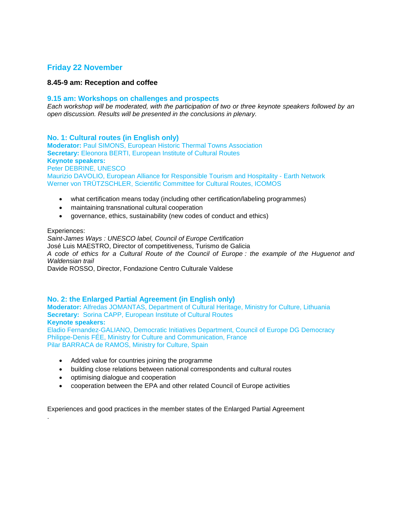## **Friday 22 November**

## **8.45-9 am: Reception and coffee**

#### **9.15 am: Workshops on challenges and prospects**

*Each workshop will be moderated, with the participation of two or three keynote speakers followed by an open discussion. Results will be presented in the conclusions in plenary.*

## **No. 1: Cultural routes (in English only)**

**Moderator:** Paul SIMONS, European Historic Thermal Towns Association **Secretary:** Eleonora BERTI, European Institute of Cultural Routes **Keynote speakers:**  Peter DEBRINE, UNESCO Maurizio DAVOLIO, European Alliance for Responsible Tourism and Hospitality - Earth Network Werner von TRÜTZSCHLER, Scientific Committee for Cultural Routes, ICOMOS

- what certification means today (including other certification/labeling programmes)
- maintaining transnational cultural cooperation
- governance, ethics, sustainability (new codes of conduct and ethics)

#### Experiences:

.

*Saint-James Ways : UNESCO label, Council of Europe Certification* José Luis MAESTRO, Director of competitiveness, Turismo de Galicia *A code of ethics for a Cultural Route of the Council of Europe : the example of the Huguenot and Waldensian trail* Davide ROSSO, Director, Fondazione Centro Culturale Valdese

## **No. 2: the Enlarged Partial Agreement (in English only)**

**Moderator:** Alfredas JOMANTAS, Department of Cultural Heritage, Ministry for Culture, Lithuania **Secretary: Sorina CAPP, European Institute of Cultural Routes Keynote speakers:**  Eladio Fernandez-GALIANO, Democratic Initiatives Department, Council of Europe DG Democracy

Philippe-Denis FÉE, Ministry for Culture and Communication, France Pilar BARRACA de RAMOS, Ministry for Culture, Spain

- Added value for countries joining the programme
- building close relations between national correspondents and cultural routes
- optimising dialogue and cooperation
- cooperation between the EPA and other related Council of Europe activities

Experiences and good practices in the member states of the Enlarged Partial Agreement